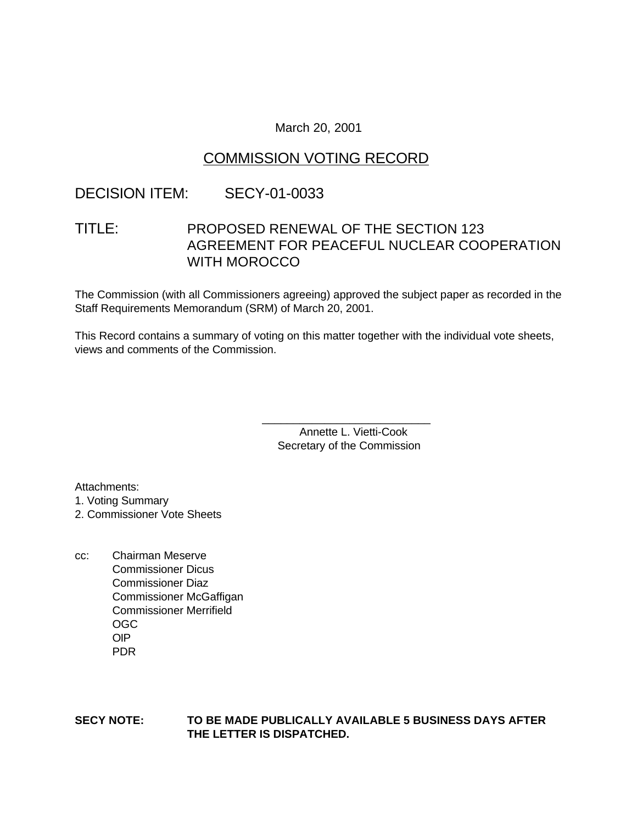March 20, 2001

# COMMISSION VOTING RECORD

## DECISION ITEM: SECY-01-0033

# TITLE: PROPOSED RENEWAL OF THE SECTION 123 AGREEMENT FOR PEACEFUL NUCLEAR COOPERATION WITH MOROCCO

The Commission (with all Commissioners agreeing) approved the subject paper as recorded in the Staff Requirements Memorandum (SRM) of March 20, 2001.

This Record contains a summary of voting on this matter together with the individual vote sheets, views and comments of the Commission.

> \_\_\_\_\_\_\_\_\_\_\_\_\_\_\_\_\_\_\_\_\_\_\_\_\_\_\_ Annette L. Vietti-Cook Secretary of the Commission

Attachments:

1. Voting Summary

2. Commissioner Vote Sheets

cc: Chairman Meserve Commissioner Dicus Commissioner Diaz Commissioner McGaffigan Commissioner Merrifield OGC OIP PDR

#### **SECY NOTE: TO BE MADE PUBLICALLY AVAILABLE 5 BUSINESS DAYS AFTER THE LETTER IS DISPATCHED.**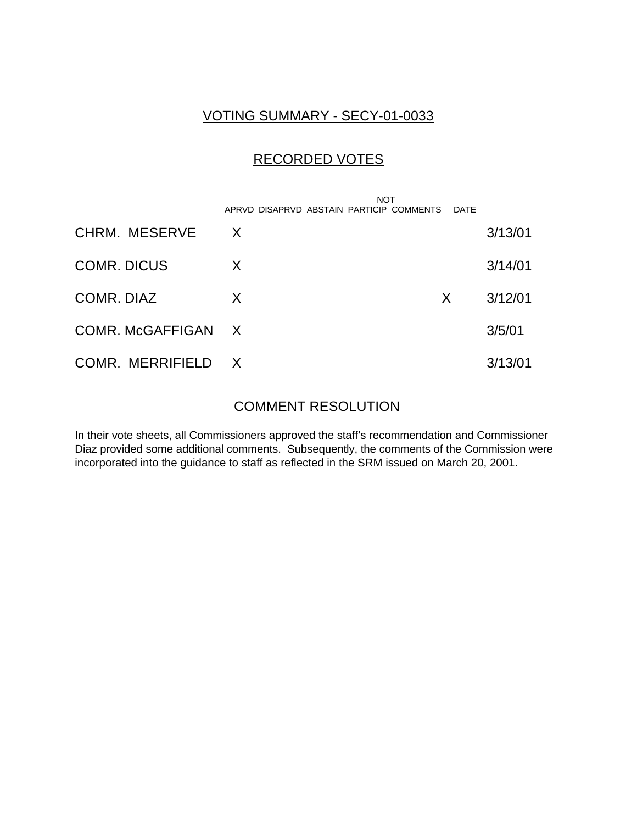## VOTING SUMMARY - SECY-01-0033

## RECORDED VOTES

|                         | <b>NOT</b><br>APRVD DISAPRVD ABSTAIN PARTICIP COMMENTS | DATE |         |
|-------------------------|--------------------------------------------------------|------|---------|
| CHRM. MESERVE           | $\mathsf{X}$                                           |      | 3/13/01 |
| <b>COMR. DICUS</b>      | X                                                      |      | 3/14/01 |
| COMR. DIAZ              | X                                                      | X.   | 3/12/01 |
| <b>COMR. McGAFFIGAN</b> | $\mathsf{X}$                                           |      | 3/5/01  |
| COMR. MERRIFIELD        | $\mathsf{X}$                                           |      | 3/13/01 |

## COMMENT RESOLUTION

In their vote sheets, all Commissioners approved the staff's recommendation and Commissioner Diaz provided some additional comments. Subsequently, the comments of the Commission were incorporated into the guidance to staff as reflected in the SRM issued on March 20, 2001.